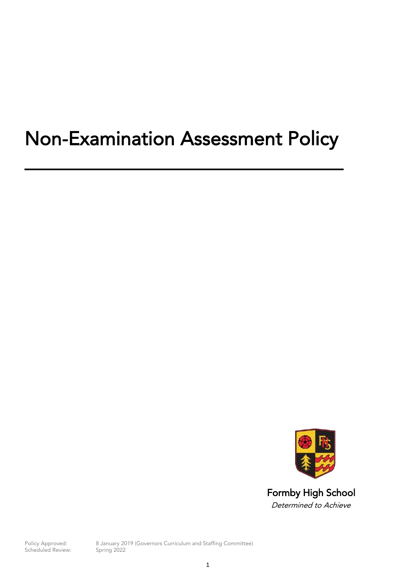# ı Non-Examination Association Assessment

 $\overline{\phantom{a}}$ 



**Determined to Achieve** 

Scheduled Review: Spring 2022

Policy Approved: 8 January 2019 (Governors Curriculum and Staffing Committee)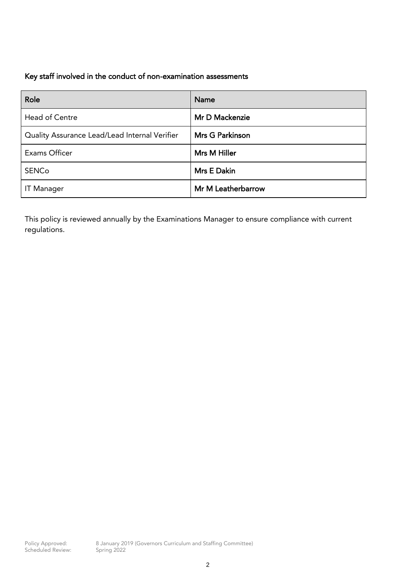## <span id="page-1-0"></span>Key staff involved in the conduct of non-examination assessments

| Role                                          | <b>Name</b>        |
|-----------------------------------------------|--------------------|
| <b>Head of Centre</b>                         | Mr D Mackenzie     |
| Quality Assurance Lead/Lead Internal Verifier | Mrs G Parkinson    |
| <b>Exams Officer</b>                          | Mrs M Hiller       |
| <b>SENCo</b>                                  | <b>Mrs E Dakin</b> |
| IT Manager                                    | Mr M Leatherbarrow |

This policy is reviewed annually by the Examinations Manager to ensure compliance with current regulations.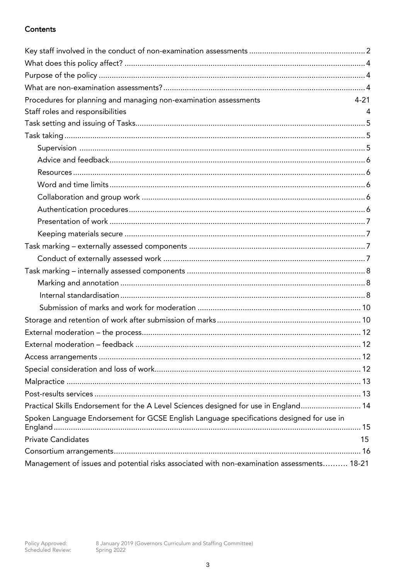## Contents

<span id="page-2-0"></span>

| Procedures for planning and managing non-examination assessments<br>$4 - 21$               |   |
|--------------------------------------------------------------------------------------------|---|
| Staff roles and responsibilities                                                           | 4 |
|                                                                                            |   |
|                                                                                            |   |
|                                                                                            |   |
|                                                                                            |   |
|                                                                                            |   |
|                                                                                            |   |
|                                                                                            |   |
|                                                                                            |   |
|                                                                                            |   |
|                                                                                            |   |
|                                                                                            |   |
|                                                                                            |   |
|                                                                                            |   |
|                                                                                            |   |
|                                                                                            |   |
|                                                                                            |   |
|                                                                                            |   |
|                                                                                            |   |
|                                                                                            |   |
|                                                                                            |   |
|                                                                                            |   |
|                                                                                            |   |
|                                                                                            |   |
| Practical Skills Endorsement for the A Level Sciences designed for use in England 14       |   |
| Spoken Language Endorsement for GCSE English Language specifications designed for use in   |   |
|                                                                                            |   |
| <b>Private Candidates</b><br>15                                                            |   |
|                                                                                            |   |
| Management of issues and potential risks associated with non-examination assessments 18-21 |   |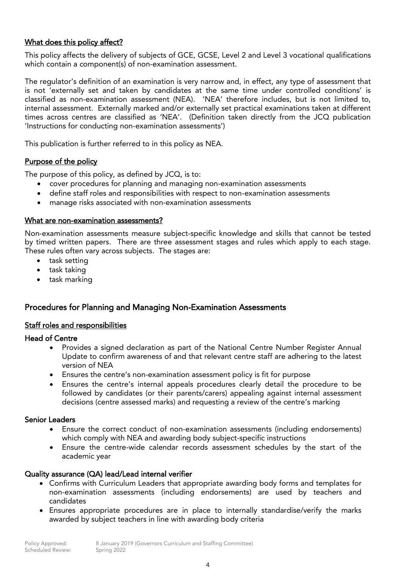### What does this policy affect?

This policy affects the delivery of subjects of GCE, GCSE, Level 2 and Level 3 vocational qualifications  $\frac{1}{2}$  and  $\frac{1}{2}$  are defined at  $\frac{1}{2}$  of  $\frac{1}{2}$  and  $\frac{1}{2}$  and  $\frac{1}{2}$  vocational  $\frac{1}{2}$  vocations  $\frac{1}{2}$  and  $\frac{1}{2}$  vocations  $\frac{1}{2}$  vocations  $\frac{1}{2}$  and  $\frac{1}{2}$  vocations  $\frac{1}{2}$  vo which contain a component(s) of non-examination assessment.

The regulator's definition of an examination is very narrow and, in effect, any type of assessment that is not 'externally set and taken by candidates at the same time under controlled conditions' is classified as non-examination assessment (NEA). 'NEA' therefore includes, but is not limited to, internal assessment. Externally marked and/or externally set practical examinations taken at different times across centres are classified as 'NEA'. (Definition taken directly from the JCQ publication 'Instructions for conducting non-examination assessments') 'Instructions for conducting non-examination assessments')

This publication is further referred to in this policy as [NEA.](http://www.jcq.org.uk/exams-office/non-examination-assessments)

<span id="page-3-0"></span>Purpose of the policy<br>The purpose of this policy, as defined by JCQ, is to:

- The purpose of the policy, as defined by JCQ, is to:<br>
 cover procedures for planning and managing non-examination assessments<br>
 define staff reles and responsibilities with respect to non-examination asses
	- define staff roles and responsibilities with respect to non-examination assessments
	- manage risks associated with non-examination assessments

<span id="page-3-1"></span>What are non-examination assessments?<br>Non-examination assessments measure subject-specific knowledge and skills that cannot be tested by timed written papers. There are three assessment stages and rules which apply to each stage. These rules often vary across subjects. The stages are:

- $\text{task setting}$ 
	- task taking<br>• task markin
	- task marking

#### ŗ Procedures for Planning and Managing Non-Examination Assessments

#### Staff roles and responsibilities

### Head of Centre

- Froca of Centre<br>Provides a signed declaration as part of the National Centre Number Register Annual<br>Undate to confirm awareness of and that relevant centre staff are adhering to the latest Update t[o confi](http://www.jcq.org.uk/exams-office/non-examination-assessments)rm awareness of and that relevant centre staff are adhering to the latest
	- Ensures the centre's non-examination assessment policy is fit for purpose<br>• Ensures the centre's internal appeals procedures clearly detail the pro
	- Ensures the centre's internal appeals procedures clearly detail the procedure to be<br>followed by candidates (or their parents/carers) appealing against internal assessment followed by candidates (or the calerman of the carers) and required internal a review of the centre's marking decisions (centre assessed marks) and requesting a review of the centre's marking

#### **Senior Leaders**

- Ensure the correc[t cond](http://www.jcq.org.uk/exams-office/non-examination-assessments)uct of non-examination assessments (including endorsements)<br>which comply with NEA and awarding body subject-specific instructions
	- Ensure the centre-wide calendar records assessment schedules by the start of the academic year

#### Quality assurance (QA) lead/Lead internal verifier

- Confirms with Curriculum Leaders that appropriate awarding body forms and templates for<br>non-examination assessments (including endorsements) are used by teachers and non-examination assessments (including endorsements) are used by teachers and
	- Ensures appropriate procedures are in place to internally standardise/verify the marks awarded by subject teachers in line with awarding body criteria awarded by subject teachers in line with awarding body criteria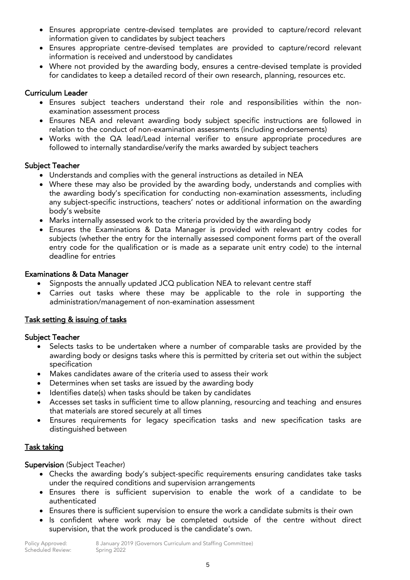- Ensures appropriate centre-devised templates are provided to capture/record relevant
- Ensures appropriate centre-devised templates are provided to capture/record relevant information is received and understood by candidates
- Where not provided by the awarding body, ensures a centre-devised template is provided for candidates to keep a detailed record of their own research planning resources etc. for candidates to keep a detailed record of the cord of their own research, planning,  $\sigma$

### Curriculum Leader

- **EXECURDER EXECURDER EXAMPLE AT A LEADER**<br> **•** Ensures subject teachers understand their role and responsibilities within the non-<br>
examination assessment process
	- Ensures NEA and relevant awarding body subject specific instructions are followed in relation to the conduct of non-examina[tion as](http://www.jcq.org.uk/exams-office/non-examination-assessments)sessments (including endorsements)
	- Works with the  $QA$  lead/Lead internal verifier to ensure appropriate procedures are followed to internally standardise/verify the marks awarded by subject teachers followed to internally standardise/verify the marks awarded by subject teachers

### **Subject Teacher**

- Understands and complies with the general instructions as detailed in [NEA](http://www.jcq.org.uk/exams-office/non-examination-assessments)<br>• Where these may also be provided by the awarding body, understands a
	- Where these may also be provided by the awarding body, understands and complies with the awarding body's specification for conducting non-examination assessments, including any subject-specific instructions teachers' notes or additional information on the awarding any subject-person instructions, teachers' notes or additional information of a warding of
	- Marks internally assessed work to the criteria provided by the awarding body<br>• Ensures, the Examinations & Data Manager, is provided with relevant of
	- Ensures the Examinations & Data Manager is provided with relevant entry codes for subjects (whether the entry for the internally assessed component forms part of the overall entry code for the qualification or is made as a separate unit entry code) to the internal deadline for entries deadline for entries

### **Examinations & Data Manager**

- Signposts the annually updated JCQ publication [NEA](http://www.jcq.org.uk/exams-office/non-examination-assessments) to relevant centre staff<br>• Carries, out, tasks, where, these may be applicable to the role in s
	- Carries out tasks where these may be applicable to the role in supporting the administration/management of non-examination assessment administration/management of non-examination assessment

#### 7 <u>task setting of tasking of tasks</u>

### **Subject Teacher**

- Subject Teacher<br>Selects tasks to be undertaken where a number of comparable tasks are provided by the<br>awarding body or designs tasks where this is permitted by criteria set out within the subject awarding body or designs tasks where this is permitted by criteria set out within the subject
	- Makes candidates aware of the criteria used to assess their work<br>• Determines when set tasks are issued by the awarding body
	- Determines when set tasks are issued by the awarding body
	- Identifies date(s) when tasks should be taken by candidates
	- Accesses set tasks in sufficient time to allow planning, resourcing and teaching and ensures that materials are stored securely at all times
	- Ensures requirements for legacy specification tasks and new specification tasks are<br>distinguished between distinguished between

#### <span id="page-4-0"></span>7 <u>Task taking</u>

### <span id="page-4-1"></span>**Supervision (Subject Teacher)**

- Checks the awarding body's subject-specific requirements ensuring candidates take tasks<br>under the required conditions and supervision arrangements
	- Ensures there is sufficient supervision to enable the work of a candidate to be<br>authenticated
	- **Ensures there is sufficient supervision to ensure the work a candidate submits is their own**<br> **A** Is confident where work may be completed outside of the centre without dire
	- Is confident where work may be completed outside of the centre without direct supervision, that the work produced is the candidate's own.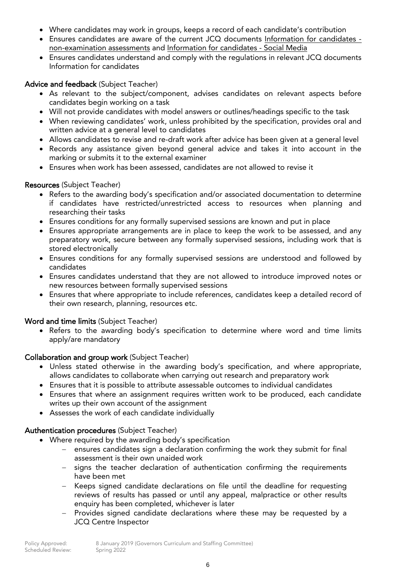- Where candidates may work in groups, keeps a record of each [candidate's contribution](http://www.jcq.org.uk/exams-office/information-for-candidates-documents)
- [Ensures candidates are aware](http://www.jcq.org.uk/exams-office/information-for-candidates-documents) of [the current JCQ documents Information fo](http://www.jcq.org.uk/exams-office/information-for-candidates-documents)r candidates non-examination assessments and Information for candidates Social Media
- Ensures candidates understand and comply with the regulations in relevant JCQ documents Information for candidates Information for candidates

- <span id="page-5-0"></span>Advice and feedback (Subject Teacher)<br>
As relevant to the subject/component, advises candidates on relevant aspects before<br>
candidates begin working on a task
	- Will not provide candidates with model answers or outlines/headings specific to the task<br>• When reviewing candidates' work, unless probibited by the specification, provides oral a
	- When reviewing candidates' work, unless prohibited by the specification, provides oral and written advice at a general level to candidates
	- Allows candidates to revise and re-draft work after advice has been given at a general level<br>• Pecords, any assistance given beyond general advice and takes it into account in the
	- Records any assistance given beyond general advice and takes it into account in the marking or submits it to the external examiner
	- Ensures when work has been assessed, candidates are not allowed to revise it

- <span id="page-5-1"></span>**EXECURDENTER (SUBJECT TEACHER)**<br> **•** Refers to the awarding body's specification and/or associated documentation to determine<br>
if candidates have restricted/unrestricted access to resources when planning and if candidates have restricted/unrestricted access to resources when planning and
	- Ensures conditions for any formally supervised sessions are known and put in place
	- Ensures appropriate arrangements are in place to keep the work to be assessed, and any preparatory work, secure between any formally supervised sessions, including work that is stored electronically
	- Ensures conditions for any formally supervised sessions are understood and followed by candidates
	- Ensures candidates understand that they are not allowed to introduce improved notes or<br>new resources between formally supervised sessions
	- Ensures that where appropriate to include references, candidates keep a detailed record of their own research planning resources etc their own research, planning, resources etc.

<span id="page-5-2"></span>• Refers to the awarding body's specification to determine where word and time limits apply/are mandatory apply/are mandatory

- <span id="page-5-3"></span>I was stated otherwise in the awarding body's specification, and where appropriate,<br>allows candidates to collaborate when carrying out research and preparatory work
	- Ensures that it is possible to attribute assessable outcomes to individual candidates<br>• Ensures that where an assignment requires written work to be produced, each c
	- Ensures that where an assignment requires written work to be produced, each candidate writes up their own account of the assignment
	- Assesses the work of each candidate individually

- <span id="page-5-4"></span>• Where required by the awarding body's specification<br>
— ensures candidates sign a declaration confirm
	- ensures candidates sign a declaration confirming the work they submit for final
	- signs the teacher declaration of authentication confirming the requirements<br>have been met
	- Keeps signed candidate declarations on file until the deadline for requesting<br>reviews of results has passed or until any appeal malpractice or other results reviews of results has passed or until any appeal, malpractice or other results enquiry has been completed, whichever is later
	- Provides signed candidate declarations where these may be requested by a<br>ICO Centre Inspector JCQ Centre Inspector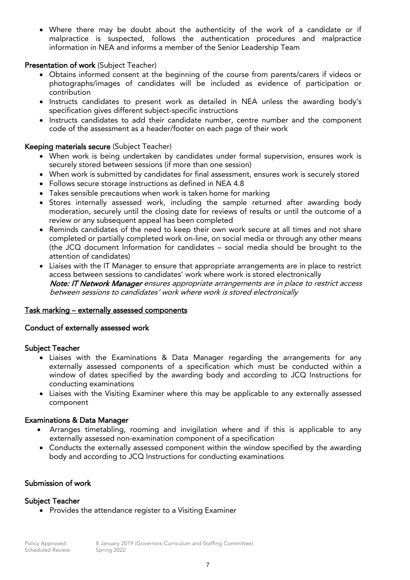• Where there may be doubt about the authenticity of the work of a candidate or if malpractice is suspected, follows the authentication procedures and malpractice  $\frac{1}{2}$  is such that  $\frac{1}{2}$  and informs a member of the Senior Leadership Team information in NEA and informs a member of the Senior Leadership Team

- <span id="page-6-0"></span>• Obtains informed consent at the beginning of the course from parents/carers if videos or<br>photographs/images of candidates will be included as evidence of participation or photographs. In ges of candidates with be included as evidence of participation or participation or participation or  $\frac{1}{2}$ 
	- Instructs candidates to present work as detailed in [NEA](http://www.jcq.org.uk/exams-office/non-examination-assessments) unless the awarding body's specification gives different subject-specific instructions
	- Instructs candidates to add their candidate number, centre number and the component code of the assessment as a header/footer on each page of their work code of the assessment as a header for each page of the their work

- <span id="page-6-1"></span>When work is being undertaken by candidates under formal supervision, ensures work is<br>securely stored between sessions (if more than one session)
	- When work is submitted by candidates for final [assessm](http://www.jcq.org.uk/exams-office/non-examination-assessments)ent, ensures work is securely stored<br>• Follows secure storage instructions as defined in NEA 4.8
	- Follows secure storage instructions as defined in NEA 4.8
	- Takes sensible precautions when work is taken home for marking
	- Stores internally assessed work, including the sample returned after awarding body moderation, securely until the closing date for reviews of results or until the outcome of a review or any subsequent appeal has been completed
	- Reminds candidates of the need to keep their own work secure at all times and not share<br>completed or partially completed work on-line on social media or through any other means completed or partially completed work on-line, on social media or through any other means<br>(the JCQ document Information for candidates – social media should be brought to the attention of candidates)
	- Liaises with the IT Manager to ensure that appropriate arrangements are in place to restrict<br>access between sessions to candidates' work where work is stored electronically **Note: IT Network Manager** ensures appropriate arrangements are in place to restrict access

between sessions to candidates' work where work is stored electronically

#### <span id="page-6-2"></span>Task marking – externally assessed components

#### <span id="page-6-3"></span>Conduct of externally assessed work Conduct of externally assessed work

- In the Examinations & Data Manager regarding the arrangements for any<br>externally assessed components of a specification which must be conducted within a externally assessed components of a specification which must be conducted within a window of dates specified by the awarding body and according to JCQ Instructions for conducting examinations
	- Liaises with the Visiting Examiner where this may be applicable to any externally assessed<br>component component

#### **Examinations & Data Manager**

- **Examinations of Data Manager**<br>
 Arranges timetabling, rooming and invigilation where and if this is applicable to any<br>
externally assessed non-examination component of a specification
	- Conducts the externally assessed component within the window specified by the awarding body and according to  $\text{ICO}$  Instructions for conducting examinations body and according to  $\mathcal{L}$  is the conductions for conducting examinations for conducting examinations  $\mathcal{L}$

## Submission of work

### **Subject Teacher**

• Provides the attendance register to a Visiting Examiner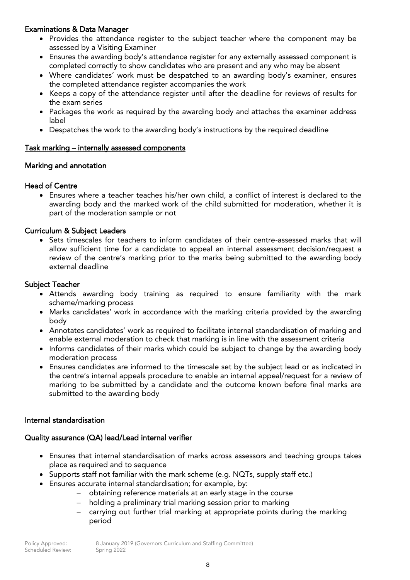- **Examinations Act Manager 1988**<br> **•** Provides the attendance register to the subject teacher where the component may be<br>
assessed by a Visiting Examiner
	- Ensures the awarding body's attendance register for any externally assessed component is completed correctly to show candidates who are present and any who may be absent
	- Where candidates' work must be despatched to an awarding body's examiner, ensures<br>the completed attendance register accompanies the work
	- Keeps a copy of the attendance register until after the deadline for reviews of results for<br>the exam series
	- Packages the work as required by the awarding body and attaches the examiner address<br>label
	- Despatches the work to the awarding body's instructions by the required deadline

#### <span id="page-7-0"></span>7 <u>Task marking – internally assessed components</u>

#### <span id="page-7-1"></span>ŀ Marking and annotation

#### **Head of Centre**

Ensures where a teacher teaches his/her own child, a conflict of interest is declared to the<br>awarding body and the marked work of the child submitted for moderation, whether it is  $\frac{1}{2}$  and the moderation sample or not part of the moderation sample or not

#### **Curriculum & Subject Leaders**

• Sets timescales for teachers to inform candidates of their centre-assessed marks that will<br>allow sufficient time for a candidate to appeal an internal assessment decision/request a allow sufficient time for a candidate to appeal an internal assessment decision/request a review of the centre's marking prior to the marks being submitted to the awarding body external deadline external deadline

#### **Subject Teacher**

- Subject Teacher<br>
 Attends awarding body training as required to ensure familiarity with the mark<br>
scheme/marking.process
	- Marks candidates' work in accordance with the marking criteria provided by the awarding<br>hody
	- Annotates candidates' work as required to facilitate internal standardisation of marking and<br>enable external moderation to check that marking is in line with the assessment criteria
	- Informs candidates of their marks which could be subject to change by the awarding body moderation process
	- Ensures candidates are informed to the timescale set by the subject lead or as indicated in the centre's internal appeals procedure to enable an internal appeal/request for a review of the centre's internal appeals procedure to enable an internal appeal/request for a review of marking to be submitted by a candidate and the outcome known before final marks are  $summited to the awarding body$ submitted to the awarding body

#### <span id="page-7-2"></span>Internal standardisation Internal standardisation

#### Quality assurance (QA) lead/Lead internal verifier

- Ensures that internal standardisation of marks across assessors and teaching groups takes
- Supports staff not familiar with the mark scheme (e.g. NQTs, supply staff etc.)
- Ensures accurate internal standardisation; for example, by:
	- obtaining reference materials at an early stage in the course
	- holding a preliminary trial marking session prior to marking
	- carrying out further trial marking at appropriate points during the marking period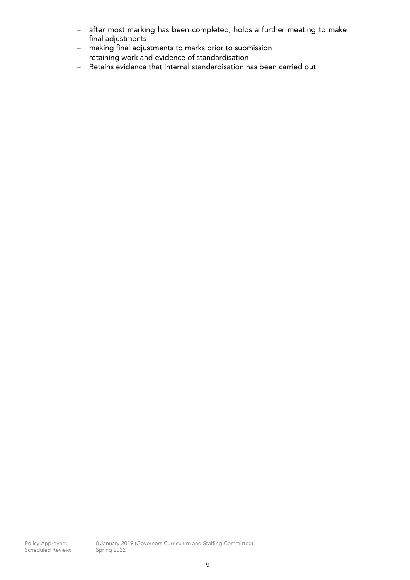- after most marking has been completed, holds a further meeting to make
- making final adjustments to marks prior to submission<br>- retaining work and evidence of standardisation
- retaining work and evidence of standardisation<br>- Retains evidence that internal standardisation h
- Retains evidence that internal standardisation has been carried out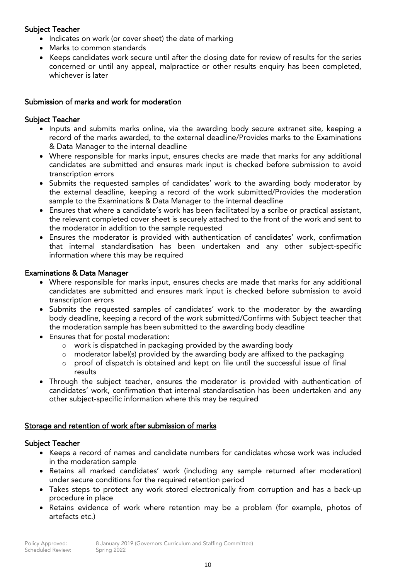- Indicates on work (or cover sheet) the date of marking<br>• Marks to common standards
	- Marks to common standards
	- Keeps candidates work secure until after the closing date for review of results for the series concerned or until any appeal, malpractice or other results enquiry has been completed, whichever is later

#### <span id="page-9-0"></span>Submission of marks and work for moderation Submission of marks and work for moderation

### **Subiect Teacher**

- Inputs and submits marks online, via the awarding body secure extranet site, keeping a<br>record of the marks awarded to the external deadline/Provides marks to the Examinations record of the marks awarded, to the external deadline/Provides marks to the Examinations & Data Manager to the internal deadline
	- Where responsible for marks input, ensures checks are made that marks for any additional<br>candidates are submitted and ensures mark input is checked before submission to avoid candidates are submitted and ensures mark input is checked before submission to avoid
	- Submits the requested samples of candidates' work to the awarding body moderator by<br>the external deadline, keeping a record of the work submitted/Provides the moderation the external deadline, keeping a record of the work submitted/Provides the moderation sample to the Examinations & Data Manager to the internal deadline
	- Ensures that where a candidate's work has been facilitated by a scribe or practical assistant, the relevant completed cover sheet is securely attached to the front of the work and sent to the relevant completed cover sheet is securely attached to the front of the work and sent to the moderator in addition to the sample requested
	- Ensures the moderator is provided with authentication of candidates' work, confirmation that internal standardisation has been undertaken and any other subject-specific that internal standardisation has been undertaken and any other subject-specific information where the  $\frac{1}{2}$  be required where  $\frac{1}{2}$

### **Examinations & Data Manager**

- Examinations of Data Manager<br>
 Where responsible for marks input, ensures checks are made that marks for any additional<br>
candidates are submitted and ensures mark input is checked before submission to avoid candidates are submitted and ensures mark input is checked before submission to avoid
	- Submits the requested samples of candidates' work to the moderator by the awarding<br>body deadline keeping a record of the work submitted/Confirms with Subject teacher that body deadline, keeping a record of the work submitted/Confirms with Subject teacher that
	-
	- Ensures that for postal moderation:<br>
	a work is dispatched in packaging provided by the awarding body <sup>o</sup> work is dispatched in packaging provided by the awarding body
		- <sup>o</sup> moderator label(s) provided by the awarding body are affixed to the packaging
		- <sup>o</sup> proof of dispatch is obtained and kept on file until the successful issue of final
	- Through the subject teacher, ensures the moderator is provided with authentication of candidates' work confirmation that internal standardisation has been undertaken and any  $\frac{1}{2}$  other subject-specific information where this may be required other subject-specific information where this may be required

#### <span id="page-9-1"></span> $\overline{\phantom{a}}$ Storage and retention of work after submission of marks

- **EXECTE TEACHER •** Keeps a record of names and candidate numbers for candidates whose work was included in the moderation sample
	- Retains all marked candidates' work (including any sample returned after moderation)
	- Takes steps to protect any work stored electronically from corruption and has a back-up<br>procedure in place
	- Retains evidence of work where retention may be a problem (for example, photos of artefacts etc.)  $\ldots$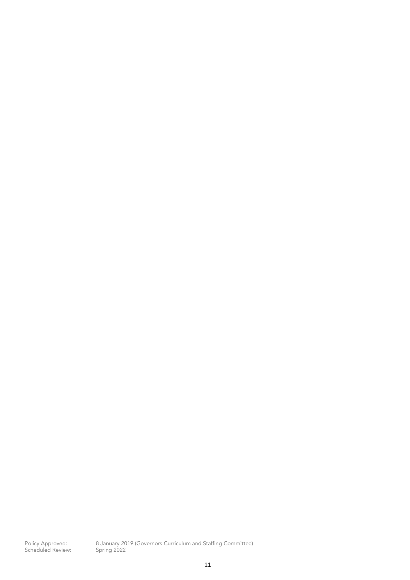Policy Approved:<br>Scheduled Review:

8 January 2019 (Governors Curriculum and Staffing Committee)<br>Spring 2022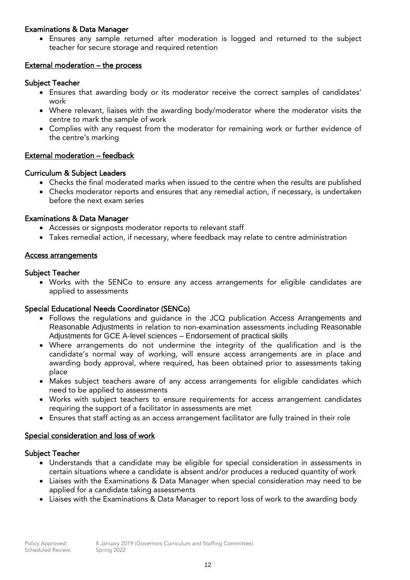**Examinations of Data Manager 1989**<br> **Ensures any sample returned after moderation is logged and returned to the subject teacher for secure storage and required retention** teacher for secure storage and required retention

#### <span id="page-11-0"></span>External moderation – the process

- Ensures that awarding body or its moderator receive the correct samples of candidates'
	- Where relevant, liaises with the awarding body/moderator where the moderator visits the centre to mark the sample of work
	- Complies with any request from the moderator for remaining work or further evidence of the centre's marking the centre's marking

# <span id="page-11-1"></span> $\overline{\phantom{a}}$   $\overline{\phantom{a}}$   $\overline{\phantom{a}}$   $\overline{\phantom{a}}$   $\overline{\phantom{a}}$   $\overline{\phantom{a}}$   $\overline{\phantom{a}}$   $\overline{\phantom{a}}$   $\overline{\phantom{a}}$   $\overline{\phantom{a}}$   $\overline{\phantom{a}}$   $\overline{\phantom{a}}$   $\overline{\phantom{a}}$   $\overline{\phantom{a}}$   $\overline{\phantom{a}}$   $\overline{\phantom{a}}$   $\overline{\phantom{a}}$   $\overline{\phantom{a}}$   $\overline{\$

- Checks the final moderated marks when issued to the centre when the results are published<br>• Checks moderator reports and ensures that any remedial action if necessary is undertaken
	- Checks moderator reports and ensures that any remedial action, if necessary, is undertaken before the next exam series before the next exam series

#### **Examinations & Data Manager**

- **Accesses or signposts moderator reports to relevant staff**<br>• Accesses or signposts moderator reports to relevant staff
	- Takes remedial action, if necessary, where feedback may relate to centre administration

## <span id="page-11-2"></span>Access arrangements

#### **Subject Teacher**

Subject Teacher<br>
• Works with the SENCo to ensure any access arrangements for eligible candidates are<br>
annlied to assessments applied to assessments

- For the Educational Needs Coordinator (SENCO)<br>Follows the regulations and guidance in the JCQ publication Access Arrangements and<br>Reasonable Adjustments in relation to non-examination assessments including Reasonable [Reasonable Adjustments](http://www.jcq.org.uk/exams-office/access-arrangements-and-special-consideration) in relation to non-examination assessments including [Reasonable](https://www.jcq.org.uk/exams-office/access-arrangements-and-special-consideration/regulations-and-guidance)  [Adjustments for GCE A-level sciences –](https://www.jcq.org.uk/exams-office/access-arrangements-and-special-consideration/regulations-and-guidance) Endorsement of practical skills
	- Where arrangements do not undermine the integrity of the qualification and is the candidate's normal way of working, will ensure access arrangements are in place and awarding body approval where required has been obtained prior to assessments taking awarding body approval, where required, has been obtained prior to assessments taking
	- Makes subject teachers aware of any access arrangements for eligible candidates which<br>need to be applied to assessments
	- Works with subject teachers to ensure requirements for access arrangement candidates requiring the support of a facilitator in assessments are met
	- Ensures that staff acting as an access arrangement facilitator are fully trained in their role

# <span id="page-11-3"></span>Special consideration and loss of work

#### **Subject Teacher**

- I I consider the consideration.<br>
 Understands that a candidate may be eligible for special consideration in assessments in<br>
certain situations where a candidate is absent and/or produces a reduced quantity of work
	- Liaises with the Examinations & Data Manager when special consideration may need to be<br>applied for a candidate taking assessments
	- Liaises with the Examinations & Data Manager to report loss of work to the awarding body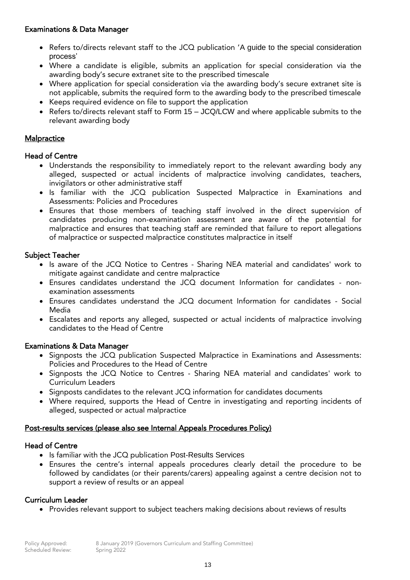# $\mathbb{E}$  and  $\mathbb{E}$  and  $\mathbb{E}$  and  $\mathbb{E}$  and  $\mathbb{E}$  and  $\mathbb{E}$  and  $\mathbb{E}$  and  $\mathbb{E}$  and  $\mathbb{E}$  and  $\mathbb{E}$  and  $\mathbb{E}$  and  $\mathbb{E}$  and  $\mathbb{E}$  and  $\mathbb{E}$  and  $\mathbb{E}$  and  $\mathbb{E}$  and  $\mathbb{E}$  and

- Refers to/directs relevant staff to the JCQ publication '[A guide to the special consideration](http://www.jcq.org.uk/exams-office/access-arrangements-and-special-consideration)  [process'](http://www.jcq.org.uk/exams-office/access-arrangements-and-special-consideration)
- Where a candidate is eligible, submits an application for special consideration via the awarding body's secure extranet site to the prescribed timescale
- Where application for special consideration via the awarding body's secure extranet site is not applicable submits the required form to the awarding body to the prescribed timescale • Keeps required evidence on file t[o support the applicat](https://www.jcq.org.uk/exams-office/non-examinationassessments)ion<br>• Refers to directs relevant staff to Form 15 – ICO/I CW and where applicable submits to the
- 
- Refers to/directs relevant staff to Form 15 JCQ/LCW and where applicable submits to the relevant awarding body relevant awarding body

#### <span id="page-12-0"></span>ŀ <u>magical control</u>

### **Head of Centre**

- IT CENTRE OF CENTRE<br>
Inderstands the responsibility to immediately report to the relevant awarding body any<br>
alleged suspected or actual incidents of malpractice involving candidates teachers alleged, suspected or actual incidents of malpractice involving candidates, teachers, invigilators or other administrative staff
	- [Is familiar with the JCQ publicat](http://www.jcq.org.uk/exams-office/malpractice)ion Suspected Malpractice in Examinations and<br>Assessments: Policies and Procedures
	- Ensures that those members of teaching staff involved in the direct supervision of candidates producing non-examination assessment are aware of the potential for candidates producing non-examination assessment are aware of the potential for of malpractice or suspected malpractice constitutes malpractice in itself of malpractice or suspected malpractice constitutes malpractice in itself

- Is aware of the JCQ Notice to Centres [Sharing NEA material and candidates](http://www.jcq.org.uk/exams-office/non-examination-assessments)' work to<br>mitigate against candidate and centre malpractice
	- [Ensures candidates unde](http://www.jcq.org.uk/exams-office/information-for-candidates-documents)rstand the JCQ document [Information for candidates -](http://www.jcq.org.uk/exams-office/information-for-candidates-documents) non-<br>examination assessments
	- [Ensures](http://www.jcq.org.uk/exams-office/information-for-candidates-documents) candidates understand the JCQ document [Information for candidates -](http://www.jcq.org.uk/exams-office/information-for-candidates-documents) Social<br>Media
	- **Escalates and reports any alleged, suspected or actual incidents of malpractice involving**<br>candidates to the Head of Centre candidates to the Head of Centre Head of Centre Head of Centre Head of Centre Head of Centre Head of Centre He

### **Examinations & Data Manager**

- **Examines Constructs of the Manager**<br> [Signposts the JCQ pub](http://www.jcq.org.uk/exams-office/malpractice)lication Suspected Malpractice in Examinations and Assessments:<br>
Policies and Procedures to the Head of Centre
	- Signposts the JCQ Notice to Centres Sharing NEA material and candidates' work to Curriculum Leaders
	- Signposts candidates to the relevant JCQ information for candidates documents<br>• Where required, supports the Head of Centre in investigating and reporting
	- Where required, supports the Head of Centre in investigating and reporting incidents of alleged, suspected or actual malpractice

#### <span id="page-12-1"></span>ŗ Post-results services (please also see Internal Appeals Procedures Policy)

#### **Head of Centre**

- Is familiar with the JCQ publication [Post-Results Services](https://www.jcq.org.uk/exams-office/post-results-services)<br>• Ensures, the centre's internal appeals, procedures, clear
	- Ensures the centre's internal appeals procedures clearly detail the procedure to be followed by candidates (or their parents/carers) appealing against a centre decision not to followed by candidates (or their parents/carers) appealing against a centre decision not to support a review of results or an appeal

### **Curriculum Leader**

**EUREMENT LEADER**<br>**•** Provides relevant support to subject teachers making decisions about reviews of results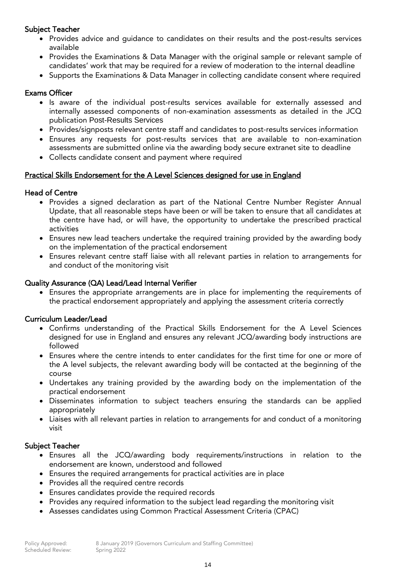- **•** Provides advice and guidance to candidates on their results and the post-results services<br>available
	- Provides the Examinations & Data Manager with the original sample or relevant sample of candidates' work that may be required for a review of moderation to the internal deadline
	- Supports the Examinations & Data Manager in collecting candidate consent where required

### **Exams Officer**

- Is aware of the individual post-results services available for externally assessed and<br>internally assessed components of non-examination assessments as detailed in the ICO internally assessed components of non-examination assessments as detailed in the JCQ publication [Post-Results Services](https://www.jcq.org.uk/exams-office/post-results-services)
	- Provides/signposts relevant centre staff and candidates to post-results services information
	- Ensures any requests for post-results services that are available to non-examination assessments are submitted online via the awarding body secure extranet site to deadline
	- Collects candidate consent and payment where required

#### <span id="page-13-0"></span>ŗ Practical Skills Endorsement for the A Level Sciences designed for use in England

#### **Head of Centre**

- From Provides a signed declaration as part of the National Centre Number Register Annual<br>Indate that all reasonable steps have been or will be taken to ensure that all candidates at  $U_{\rm P}$  can all  $U_{\rm P}$  all  $U_{\rm P}$  are the original to undertake the prescribed practical  $\frac{1}{\sqrt{2}}$  the centre had, or will have, the opportunity to undertake the problem problem.
	- Ensures new lead teachers undertake the required training provided by the awarding body<br>on the implementation of the practical endorsement
	- Ensures relevant centre staff liaise with all relevant parties in relation to arrangements for<br>and conduct of the monitoring visit and conduct of the monitoring visit

#### Quality Assurance (QA) Lead/Lead Internal Verifier

 $\bullet$  Ensures the appropriate arrangements are in place for implementing the requirements of the practical endorsement appropriately and applying the assessment criteria correctly the practical endorsement appropriately and applying the assessment criteria correctly

#### Curriculum Leader/Lead

- Confirms understanding of the Practical Skills Endorsement for the A Level Sciences<br>designed for use in England and ensures any relevant ICO/awarding body instructions are designed for use in England and ensures any relevant JCQ/awarding body instructions are followed
	- Ensures where the centre intends to enter candidates for the first time for one or more of the A level subjects the relevant awarding body will be contacted at the beginning of the the A level subjects, the relevant awarding body will be contacted at the beginning of the
	- Undertakes any training provided by the awarding body on the implementation of the practical endorsement
	- Disseminates information to subject teachers ensuring the standards can be applied
	- Liaises with all relevant parties in relation to arrangements for and conduct of a monitoring<br>visit visit

### **Subiect Teacher**

- **Ensures all the JCQ/awarding body requirements/instructions in relation to the**<br>endorsement are known understood and followed
	- Ensures the required arrangements for practical activities are in place
	- Provides all the required centre records
	- Ensures candidates provide the required records
	- Provides any required information to the subject lead regarding the monitoring visit
	- Assesses candidates using Common Practical Assessment Criteria (CPAC)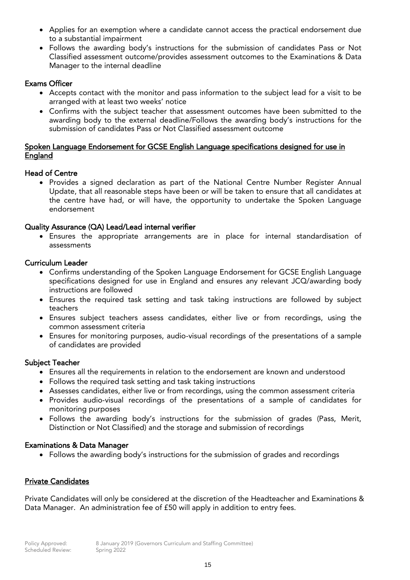- Applies for an exemption where a candidate cannot access the practical endorsement due to a substantial impairment
- Follows the awarding body's instructions for the submission of candidates Pass or Not<br>Classified assessment outcome/provides assessment outcomes to the Examinations & Data Classified assessment outcome/provides assessment outcomes to the Examinations & Data Manager to the internal deadline

### **Exams Officer**

- Example 2 mere.<br>
 Accepts contact with the monitor and pass information to the subject lead for a visit to be<br>
arranged with at least two weeks' notice
	- Confirms with the subject teacher that assessment outcomes have been submitted to the<br>awarding body to the external deadline/Follows the awarding body's instructions for the awarding body to the external deadline/Follows the awarding body's instructions for the submission of candidates Pass or Not Classified assessment outcome

## <span id="page-14-0"></span>Spoken Language Endorsement for GCSE English Language specifications designed for use in England

### **Head of Centre**

From Provides a signed declaration as part of the National Centre Number Register Annual<br>Indate that all reasonable steps have been or will be taken to ensure that all candidates at Update, that all reasonable steps have been or will be taken to ensure that all candidates at the centre have had, or will have, the opportunity to undertake the Spoken Language endorsement endorsement

### Quality Assurance (QA) Lead/Lead internal verifier

**Ensures the appropriate arrangements are in place for internal standardisation of**<br>assessments assessments

### Curriculum Leader

- Curriculum Leader<br> **•** Confirms understanding of the Spoken Language Endorsement for GCSE English Language<br>
specifications designed for use in England and ensures any relevant ICO/awarding body specifications designed for use in England and ensures any relevant JCQ/awarding body
	- Ensures the required task setting and task taking instructions are followed by subject teachers
	- Ensures subject teachers assess candidates, either live or from recordings, using the common assessment criteria
	- Ensures for monitoring purposes, audio-visual recordings of the presentations of a sample<br>of candidates are provided of candidates are provided

### **Subject Teacher**

- **Ensures all the requirements in relation to the endorsement are known and understood**<br> **•** Eollows the required task setting and task taking instructions
	- Follows the required task setting and task taking instructions
	- Assesses candidates, either live or from recordings, using the common assessment criteria
	- Provides audio-visual recordings of the presentations of a sample of candidates for
	- Follows the awarding body's instructions for the submission of grades (Pass, Merit,<br>Distinction or Not Classified) and the storage and submission of recordings Distinction or Not Classified) and the storage and submission of recordings

### **Examinations & Data Manager**

**Examinations of Data Manager •** Follows the awarding body's instructions for the submission of grades and recordings

# Private Candidates

Private Candidates will only be considered at the discretion of the Headteacher and Examinations & Private Candidates will only be considered at the discretion of the Headteacher and Examinations of<br>Data Manager An administration fee of f50 will annly in addition to entry fees Data Manager. An administration fee of £50 will apply in addition to entry fees.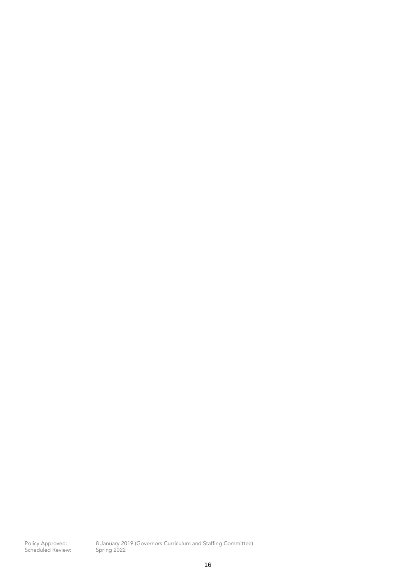<span id="page-15-0"></span>Policy Approved:<br>Scheduled Review:

8 January 2019 (Governors Curriculum and Staffing Committee)<br>Spring 2022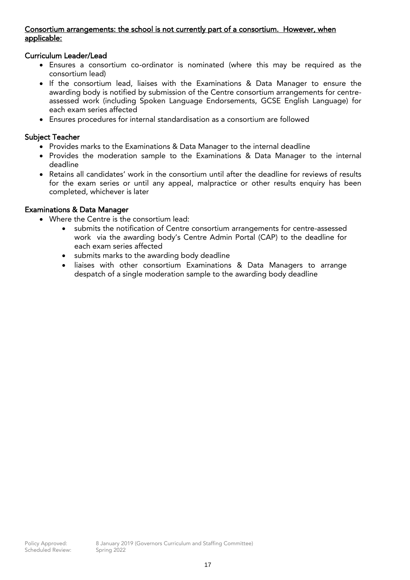## <u>communicating arrangements: the school is not currently part of a consortium. However, when</u><br>annlicable<sup>,</sup> approximately

- **Ensures a consortium co-ordinator is nominated (where this may be required as the consortium lead)** 
	- If the consortium lead, liaises with the Examinations & Data Manager to ensure the<br>awarding body is notified by submission of the Centre consortium arrangements for centreawarding body is notified by submission of the Centre consortium arrangements for centre-<br>assessed work (including Spoken Language Endorsements, GCSE English Language) for each exam series affected
	- Ensures procedures for internal standardisation as a consortium are followed

### **Subiect Teacher**

- Provides marks to the Examinations & Data Manager to the internal deadline<br>• Provides the moderation sample to the Examinations & Data Manager
	- Provides the moderation sample to the Examinations & Data Manager to the internal deadline
	- Retains all candidates' work in the consortium until after the deadline for reviews of results<br>for the exam series or until any appeal malpractice or other results enquiry has been for the exam series or until any appeal, malpractice or other results enquiry has been completed, which is later

### **Examinations & Data Manager**

- <span id="page-16-0"></span>• Where the Centre is the consortium lead:
	- submits the notification of Centre consortium arrangements for centre-assessed each exam series affected
	- oubmits marks to the awarding body deadline<br>
	a liaises with other consortium Examinations
	- liaises with other consortium Examinations & Data Managers to arrange despatch of a single moderation sample to the awarding body deadline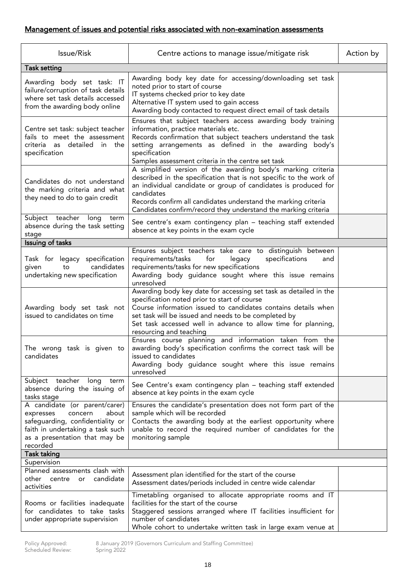## Management of issues and potential risks associated with non-examination assessments

| Issue/Risk                                                                                                                                                                          | Centre actions to manage issue/mitigate risk                                                                                                                                                                                                                                                                                                           | Action by |
|-------------------------------------------------------------------------------------------------------------------------------------------------------------------------------------|--------------------------------------------------------------------------------------------------------------------------------------------------------------------------------------------------------------------------------------------------------------------------------------------------------------------------------------------------------|-----------|
| Task setting                                                                                                                                                                        |                                                                                                                                                                                                                                                                                                                                                        |           |
| Awarding body set task: IT<br>failure/corruption of task details<br>where set task details accessed<br>from the awarding body online                                                | Awarding body key date for accessing/downloading set task<br>noted prior to start of course<br>IT systems checked prior to key date<br>Alternative IT system used to gain access<br>Awarding body contacted to request direct email of task details                                                                                                    |           |
| Centre set task: subject teacher<br>fails to meet the assessment<br>criteria as detailed in the<br>specification                                                                    | Ensures that subject teachers access awarding body training<br>information, practice materials etc.<br>Records confirmation that subject teachers understand the task<br>setting arrangements as defined in the awarding body's<br>specification<br>Samples assessment criteria in the centre set task                                                 |           |
| Candidates do not understand<br>the marking criteria and what<br>they need to do to gain credit                                                                                     | A simplified version of the awarding body's marking criteria<br>described in the specification that is not specific to the work of<br>an individual candidate or group of candidates is produced for<br>candidates<br>Records confirm all candidates understand the marking criteria<br>Candidates confirm/record they understand the marking criteria |           |
| Subject teacher<br>long<br>term<br>absence during the task setting<br>stage                                                                                                         | See centre's exam contingency plan - teaching staff extended<br>absence at key points in the exam cycle                                                                                                                                                                                                                                                |           |
| Issuing of tasks                                                                                                                                                                    |                                                                                                                                                                                                                                                                                                                                                        |           |
| Task for legacy specification<br>candidates<br>given<br>to<br>undertaking new specification                                                                                         | Ensures subject teachers take care to distinguish between<br>requirements/tasks<br>specifications<br>for<br>legacy<br>and<br>requirements/tasks for new specifications<br>Awarding body guidance sought where this issue remains<br>unresolved                                                                                                         |           |
| Awarding body set task not<br>issued to candidates on time                                                                                                                          | Awarding body key date for accessing set task as detailed in the<br>specification noted prior to start of course<br>Course information issued to candidates contains details when<br>set task will be issued and needs to be completed by<br>Set task accessed well in advance to allow time for planning,<br>resourcing and teaching                  |           |
| The wrong task is given to<br>candidates                                                                                                                                            | Ensures course planning and information taken from the<br>awarding body's specification confirms the correct task will be<br>issued to candidates<br>Awarding body guidance sought where this issue remains<br>unresolved                                                                                                                              |           |
| Subject teacher long<br>term<br>absence during the issuing of<br>tasks stage                                                                                                        | See Centre's exam contingency plan - teaching staff extended<br>absence at key points in the exam cycle                                                                                                                                                                                                                                                |           |
| A candidate (or parent/carer)<br>about<br>concern<br>expresses<br>safeguarding, confidentiality or<br>faith in undertaking a task such<br>as a presentation that may be<br>recorded | Ensures the candidate's presentation does not form part of the<br>sample which will be recorded<br>Contacts the awarding body at the earliest opportunity where<br>unable to record the required number of candidates for the<br>monitoring sample                                                                                                     |           |
| Task taking                                                                                                                                                                         |                                                                                                                                                                                                                                                                                                                                                        |           |
| Supervision                                                                                                                                                                         |                                                                                                                                                                                                                                                                                                                                                        |           |
| Planned assessments clash with<br>other centre or<br>candidate<br>activities                                                                                                        | Assessment plan identified for the start of the course<br>Assessment dates/periods included in centre wide calendar                                                                                                                                                                                                                                    |           |
| Rooms or facilities inadequate<br>for candidates to take tasks<br>under appropriate supervision                                                                                     | Timetabling organised to allocate appropriate rooms and IT<br>facilities for the start of the course<br>Staggered sessions arranged where IT facilities insufficient for<br>number of candidates<br>Whole cohort to undertake written task in large exam venue at                                                                                      |           |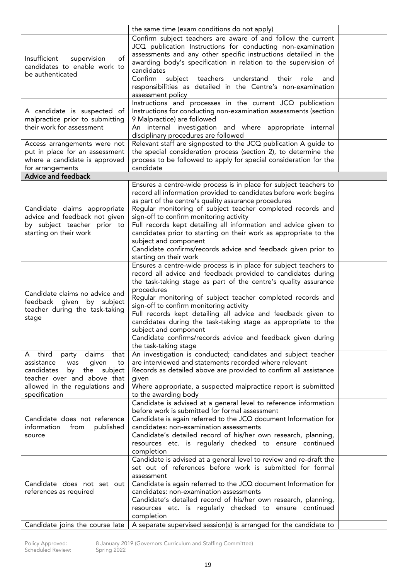|                                                                     | the same time (exam conditions do not apply)                                                                                    |  |
|---------------------------------------------------------------------|---------------------------------------------------------------------------------------------------------------------------------|--|
|                                                                     | Confirm subject teachers are aware of and follow the current<br>JCQ publication Instructions for conducting non-examination     |  |
| Insufficient<br>of<br>supervision                                   | assessments and any other specific instructions detailed in the                                                                 |  |
| candidates to enable work to                                        | awarding body's specification in relation to the supervision of<br>candidates                                                   |  |
| be authenticated                                                    | Confirm<br>subject teachers understand their<br>role<br>and                                                                     |  |
|                                                                     | responsibilities as detailed in the Centre's non-examination                                                                    |  |
|                                                                     | assessment policy<br>Instructions and processes in the current JCQ publication                                                  |  |
| A candidate is suspected of                                         | Instructions for conducting non-examination assessments (section                                                                |  |
| malpractice prior to submitting                                     | 9 Malpractice) are followed                                                                                                     |  |
| their work for assessment                                           | An internal investigation and where appropriate internal                                                                        |  |
| Access arrangements were not                                        | disciplinary procedures are followed<br>Relevant staff are signposted to the JCQ publication A guide to                         |  |
| put in place for an assessment                                      | the special consideration process (section 2), to determine the                                                                 |  |
| where a candidate is approved                                       | process to be followed to apply for special consideration for the                                                               |  |
| for arrangements<br><b>Advice and feedback</b>                      | candidate                                                                                                                       |  |
|                                                                     | Ensures a centre-wide process is in place for subject teachers to                                                               |  |
|                                                                     | record all information provided to candidates before work begins                                                                |  |
|                                                                     | as part of the centre's quality assurance procedures                                                                            |  |
| Candidate claims appropriate<br>advice and feedback not given       | Regular monitoring of subject teacher completed records and<br>sign-off to confirm monitoring activity                          |  |
| by subject teacher prior to                                         | Full records kept detailing all information and advice given to                                                                 |  |
| starting on their work                                              | candidates prior to starting on their work as appropriate to the                                                                |  |
|                                                                     | subject and component<br>Candidate confirms/records advice and feedback given prior to                                          |  |
|                                                                     | starting on their work                                                                                                          |  |
|                                                                     | Ensures a centre-wide process is in place for subject teachers to                                                               |  |
|                                                                     | record all advice and feedback provided to candidates during<br>the task-taking stage as part of the centre's quality assurance |  |
|                                                                     | procedures                                                                                                                      |  |
| Candidate claims no advice and<br>feedback given by subject         | Regular monitoring of subject teacher completed records and                                                                     |  |
| teacher during the task-taking                                      | sign-off to confirm monitoring activity                                                                                         |  |
| stage                                                               | Full records kept detailing all advice and feedback given to<br>candidates during the task-taking stage as appropriate to the   |  |
|                                                                     | subject and component                                                                                                           |  |
|                                                                     | Candidate confirms/records advice and feedback given during<br>the task-taking stage                                            |  |
| A third party claims<br>that                                        | An investigation is conducted; candidates and subject teacher                                                                   |  |
| assistance<br>given<br>to<br>was<br>by the<br>candidates<br>subject | are interviewed and statements recorded where relevant<br>Records as detailed above are provided to confirm all assistance      |  |
| teacher over and above that                                         | given                                                                                                                           |  |
| allowed in the regulations and                                      | Where appropriate, a suspected malpractice report is submitted                                                                  |  |
| specification                                                       | to the awarding body<br>Candidate is advised at a general level to reference information                                        |  |
|                                                                     | before work is submitted for formal assessment                                                                                  |  |
| Candidate does not reference                                        | Candidate is again referred to the JCQ document Information for                                                                 |  |
| published<br>information<br>from<br>source                          | candidates: non-examination assessments<br>Candidate's detailed record of his/her own research, planning,                       |  |
|                                                                     | resources etc. is regularly checked to ensure continued                                                                         |  |
|                                                                     | completion                                                                                                                      |  |
|                                                                     | Candidate is advised at a general level to review and re-draft the<br>set out of references before work is submitted for formal |  |
|                                                                     | assessment                                                                                                                      |  |
| Candidate does not set out                                          | Candidate is again referred to the JCQ document Information for                                                                 |  |
| references as required                                              | candidates: non-examination assessments                                                                                         |  |
|                                                                     | Candidate's detailed record of his/her own research, planning,<br>resources etc. is regularly checked to ensure continued       |  |
|                                                                     | completion                                                                                                                      |  |
| Candidate joins the course late                                     | A separate supervised session(s) is arranged for the candidate to                                                               |  |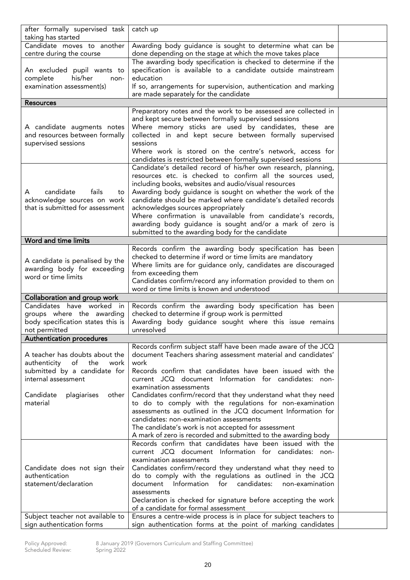| after formally supervised task<br>taking has started                                                                                                                        | catch up                                                                                                                                                                                                                                                                                                                                                                                                                                                                                                                                                                                                                                                                                                            |  |
|-----------------------------------------------------------------------------------------------------------------------------------------------------------------------------|---------------------------------------------------------------------------------------------------------------------------------------------------------------------------------------------------------------------------------------------------------------------------------------------------------------------------------------------------------------------------------------------------------------------------------------------------------------------------------------------------------------------------------------------------------------------------------------------------------------------------------------------------------------------------------------------------------------------|--|
| Candidate moves to another<br>centre during the course                                                                                                                      | Awarding body guidance is sought to determine what can be<br>done depending on the stage at which the move takes place                                                                                                                                                                                                                                                                                                                                                                                                                                                                                                                                                                                              |  |
| An excluded pupil wants to<br>complete<br>his/her<br>non-<br>examination assessment(s)                                                                                      | The awarding body specification is checked to determine if the<br>specification is available to a candidate outside mainstream<br>education<br>If so, arrangements for supervision, authentication and marking<br>are made separately for the candidate                                                                                                                                                                                                                                                                                                                                                                                                                                                             |  |
| <b>Resources</b>                                                                                                                                                            |                                                                                                                                                                                                                                                                                                                                                                                                                                                                                                                                                                                                                                                                                                                     |  |
| A candidate augments notes<br>and resources between formally<br>supervised sessions                                                                                         | Preparatory notes and the work to be assessed are collected in<br>and kept secure between formally supervised sessions<br>Where memory sticks are used by candidates, these are<br>collected in and kept secure between formally supervised<br>sessions<br>Where work is stored on the centre's network, access for<br>candidates is restricted between formally supervised sessions                                                                                                                                                                                                                                                                                                                                |  |
| candidate<br>fails<br>A<br>to<br>acknowledge sources on work<br>that is submitted for assessment                                                                            | Candidate's detailed record of his/her own research, planning,<br>resources etc. is checked to confirm all the sources used,<br>including books, websites and audio/visual resources<br>Awarding body guidance is sought on whether the work of the<br>candidate should be marked where candidate's detailed records<br>acknowledges sources appropriately<br>Where confirmation is unavailable from candidate's records,<br>awarding body guidance is sought and/or a mark of zero is<br>submitted to the awarding body for the candidate                                                                                                                                                                          |  |
| Word and time limits                                                                                                                                                        |                                                                                                                                                                                                                                                                                                                                                                                                                                                                                                                                                                                                                                                                                                                     |  |
| A candidate is penalised by the<br>awarding body for exceeding<br>word or time limits                                                                                       | Records confirm the awarding body specification has been<br>checked to determine if word or time limits are mandatory<br>Where limits are for guidance only, candidates are discouraged<br>from exceeding them<br>Candidates confirm/record any information provided to them on<br>word or time limits is known and understood                                                                                                                                                                                                                                                                                                                                                                                      |  |
| Collaboration and group work                                                                                                                                                |                                                                                                                                                                                                                                                                                                                                                                                                                                                                                                                                                                                                                                                                                                                     |  |
| Candidates have worked<br>in<br>groups where the awarding<br>body specification states this is<br>not permitted                                                             | Records confirm the awarding body specification has been<br>checked to determine if group work is permitted<br>Awarding body guidance sought where this issue remains<br>unresolved                                                                                                                                                                                                                                                                                                                                                                                                                                                                                                                                 |  |
| Authentication procedures                                                                                                                                                   |                                                                                                                                                                                                                                                                                                                                                                                                                                                                                                                                                                                                                                                                                                                     |  |
| A teacher has doubts about the<br>authenticity<br>of<br>the<br>work<br>submitted by a candidate for<br>internal assessment<br>Candidate<br>plagiarises<br>other<br>material | Records confirm subject staff have been made aware of the JCQ<br>document Teachers sharing assessment material and candidates'<br>work<br>Records confirm that candidates have been issued with the<br>current JCQ document Information for candidates: non-<br>examination assessments<br>Candidates confirm/record that they understand what they need<br>to do to comply with the regulations for non-examination<br>assessments as outlined in the JCQ document Information for<br>candidates: non-examination assessments<br>The candidate's work is not accepted for assessment<br>A mark of zero is recorded and submitted to the awarding body<br>Records confirm that candidates have been issued with the |  |
| Candidate does not sign their<br>authentication<br>statement/declaration<br>Subject teacher not available to<br>sign authentication forms                                   | current JCQ document Information for candidates: non-<br>examination assessments<br>Candidates confirm/record they understand what they need to<br>do to comply with the regulations as outlined in the JCQ<br>Information<br>for<br>candidates:<br>document<br>non-examination<br>assessments<br>Declaration is checked for signature before accepting the work<br>of a candidate for formal assessment<br>Ensures a centre-wide process is in place for subject teachers to<br>sign authentication forms at the point of marking candidates                                                                                                                                                                       |  |
|                                                                                                                                                                             |                                                                                                                                                                                                                                                                                                                                                                                                                                                                                                                                                                                                                                                                                                                     |  |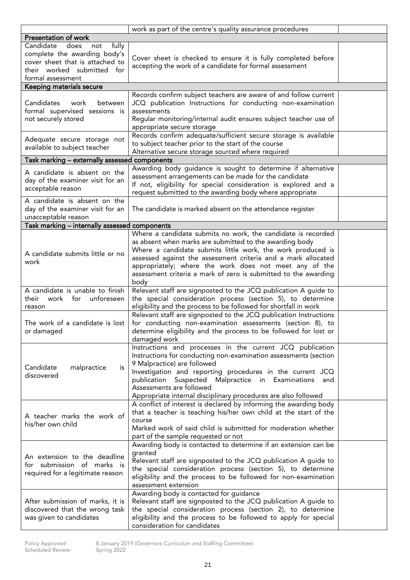|                                                                                                                                                         | work as part of the centre's quality assurance procedures                                                                                                                                                                                                                                                                                                                                    |  |
|---------------------------------------------------------------------------------------------------------------------------------------------------------|----------------------------------------------------------------------------------------------------------------------------------------------------------------------------------------------------------------------------------------------------------------------------------------------------------------------------------------------------------------------------------------------|--|
| Presentation of work                                                                                                                                    |                                                                                                                                                                                                                                                                                                                                                                                              |  |
| fully<br>Candidate<br>does<br>not<br>complete the awarding body's<br>cover sheet that is attached to<br>their worked submitted for<br>formal assessment | Cover sheet is checked to ensure it is fully completed before<br>accepting the work of a candidate for formal assessment                                                                                                                                                                                                                                                                     |  |
| Keeping materials secure                                                                                                                                |                                                                                                                                                                                                                                                                                                                                                                                              |  |
| Candidates<br>work<br>between<br>formal supervised sessions is<br>not securely stored                                                                   | Records confirm subject teachers are aware of and follow current<br>JCQ publication Instructions for conducting non-examination<br>assessments<br>Regular monitoring/internal audit ensures subject teacher use of<br>appropriate secure storage                                                                                                                                             |  |
| Adequate secure storage not<br>available to subject teacher                                                                                             | Records confirm adequate/sufficient secure storage is available<br>to subject teacher prior to the start of the course<br>Alternative secure storage sourced where required                                                                                                                                                                                                                  |  |
| Task marking - externally assessed components                                                                                                           |                                                                                                                                                                                                                                                                                                                                                                                              |  |
| A candidate is absent on the<br>day of the examiner visit for an<br>acceptable reason                                                                   | Awarding body guidance is sought to determine if alternative<br>assessment arrangements can be made for the candidate<br>If not, eligibility for special consideration is explored and a<br>request submitted to the awarding body where appropriate                                                                                                                                         |  |
| A candidate is absent on the<br>day of the examiner visit for an<br>unacceptable reason                                                                 | The candidate is marked absent on the attendance register                                                                                                                                                                                                                                                                                                                                    |  |
| Task marking - internally assessed components                                                                                                           |                                                                                                                                                                                                                                                                                                                                                                                              |  |
| A candidate submits little or no<br>work                                                                                                                | Where a candidate submits no work, the candidate is recorded<br>as absent when marks are submitted to the awarding body<br>Where a candidate submits little work, the work produced is<br>assessed against the assessment criteria and a mark allocated<br>appropriately; where the work does not meet any of the<br>assessment criteria a mark of zero is submitted to the awarding<br>body |  |
| A candidate is unable to finish<br>their<br>work<br>for<br>unforeseen<br>reason                                                                         | Relevant staff are signposted to the JCQ publication A guide to<br>the special consideration process (section 5), to determine<br>eligibility and the process to be followed for shortfall in work                                                                                                                                                                                           |  |
| The work of a candidate is lost<br>or damaged                                                                                                           | Relevant staff are signposted to the JCQ publication Instructions<br>for conducting non-examination assessments (section 8), to<br>determine eligibility and the process to be followed for lost or<br>damaged work                                                                                                                                                                          |  |
| Candidate<br>malpractice<br>is<br>discovered                                                                                                            | Instructions and processes in the current JCQ publication<br>Instructions for conducting non-examination assessments (section<br>9 Malpractice) are followed<br>Investigation and reporting procedures in the current JCQ<br>Suspected Malpractice in Examinations<br>publication<br>and<br>Assessments are followed<br>Appropriate internal disciplinary procedures are also followed       |  |
| A teacher marks the work of<br>his/her own child                                                                                                        | A conflict of interest is declared by informing the awarding body<br>that a teacher is teaching his/her own child at the start of the<br>course<br>Marked work of said child is submitted for moderation whether<br>part of the sample requested or not                                                                                                                                      |  |
| An extension to the deadline<br>for submission of marks is<br>required for a legitimate reason                                                          | Awarding body is contacted to determine if an extension can be<br>granted<br>Relevant staff are signposted to the JCQ publication A guide to<br>the special consideration process (section 5), to determine<br>eligibility and the process to be followed for non-examination<br>assessment extension                                                                                        |  |
| After submission of marks, it is<br>discovered that the wrong task<br>was given to candidates                                                           | Awarding body is contacted for guidance<br>Relevant staff are signposted to the JCQ publication A guide to<br>the special consideration process (section 2), to determine<br>eligibility and the process to be followed to apply for special<br>consideration for candidates                                                                                                                 |  |